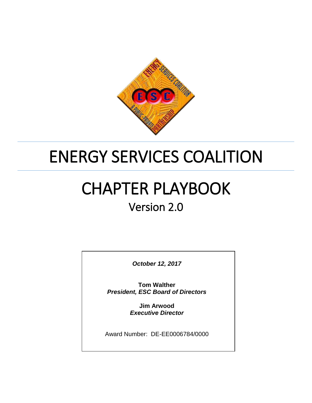

## ENERGY SERVICES COALITION

# CHAPTER PLAYBOOK

### Version 2.0

*October 12, 2017*

**Tom Walther** *President, ESC Board of Directors*

> **Jim Arwood** *Executive Director*

Award Number: DE-EE0006784/0000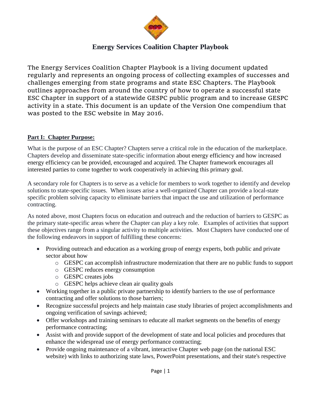

#### **Energy Services Coalition Chapter Playbook**

The Energy Services Coalition Chapter Playbook is a living document updated regularly and represents an ongoing process of collecting examples of successes and challenges emerging from state programs and state ESC Chapters. The Playbook outlines approaches from around the country of how to operate a successful state ESC Chapter in support of a statewide GESPC public program and to increase GESPC activity in a state. This document is an update of the Version One compendium that was posted to the ESC website in May 2016.

#### **Part I: Chapter Purpose:**

What is the purpose of an ESC Chapter? Chapters serve a critical role in the education of the marketplace. Chapters develop and disseminate state-specific information about energy efficiency and how increased energy efficiency can be provided, encouraged and acquired. The Chapter framework encourages all interested parties to come together to work cooperatively in achieving this primary goal.

A secondary role for Chapters is to serve as a vehicle for members to work together to identify and develop solutions to state-specific issues. When issues arise a well-organized Chapter can provide a local-state specific problem solving capacity to eliminate barriers that impact the use and utilization of performance contracting.

As noted above, most Chapters focus on education and outreach and the reduction of barriers to GESPC as the primary state-specific areas where the Chapter can play a key role. Examples of activities that support these objectives range from a singular activity to multiple activities. Most Chapters have conducted one of the following endeavors in support of fulfilling these concerns:

- Providing outreach and education as a working group of energy experts, both public and private sector about how
	- o GESPC can accomplish infrastructure modernization that there are no public funds to support
	- o GESPC reduces energy consumption
	- o GESPC creates jobs
	- o GESPC helps achieve clean air quality goals
- Working together in a public private partnership to identify barriers to the use of performance contracting and offer solutions to those barriers;
- Recognize successful projects and help maintain case study libraries of project accomplishments and ongoing verification of savings achieved;
- Offer workshops and training seminars to educate all market segments on the benefits of energy performance contracting;
- Assist with and provide support of the development of state and local policies and procedures that enhance the widespread use of energy performance contracting;
- Provide ongoing maintenance of a vibrant, interactive Chapter web page (on the national ESC website) with links to authorizing state laws, PowerPoint presentations, and their state's respective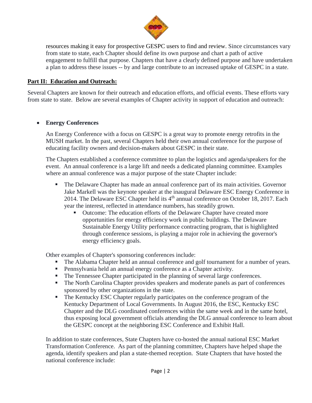

resources making it easy for prospective GESPC users to find and review. Since circumstances vary from state to state, each Chapter should define its own purpose and chart a path of active engagement to fulfill that purpose. Chapters that have a clearly defined purpose and have undertaken a plan to address these issues -- by and large contribute to an increased uptake of GESPC in a state.

#### **Part II: Education and Outreach:**

Several Chapters are known for their outreach and education efforts, and official events. These efforts vary from state to state. Below are several examples of Chapter activity in support of education and outreach:

#### **Energy Conferences**

An Energy Conference with a focus on GESPC is a great way to promote energy retrofits in the MUSH market. In the past, several Chapters held their own annual conference for the purpose of educating facility owners and decision-makers about GESPC in their state.

The Chapters established a conference committee to plan the logistics and agenda/speakers for the event. An annual conference is a large lift and needs a dedicated planning committee. Examples where an annual conference was a major purpose of the state Chapter include:

- The Delaware Chapter has made an annual conference part of its main activities. Governor Jake Markell was the keynote speaker at the inaugural Delaware ESC Energy Conference in 2014. The Delaware ESC Chapter held its  $4<sup>th</sup>$  annual conference on October 18, 2017. Each year the interest, reflected in attendance numbers, has steadily grown.
	- Outcome: The education efforts of the Delaware Chapter have created more opportunities for energy efficiency work in public buildings. The Delaware Sustainable Energy Utility performance contracting program, that is highlighted through conference sessions, is playing a major role in achieving the governor's energy efficiency goals.

Other examples of Chapter's sponsoring conferences include:

- The Alabama Chapter held an annual conference and golf tournament for a number of years.
- Pennsylvania held an annual energy conference as a Chapter activity.
- The Tennessee Chapter participated in the planning of several large conferences.
- The North Carolina Chapter provides speakers and moderate panels as part of conferences sponsored by other organizations in the state.
- The Kentucky ESC Chapter regularly participates on the conference program of the Kentucky Department of Local Governments. In August 2016, the ESC, Kentucky ESC Chapter and the DLG coordinated conferences within the same week and in the same hotel, thus exposing local government officials attending the DLG annual conference to learn about the GESPC concept at the neighboring ESC Conference and Exhibit Hall.

In addition to state conferences, State Chapters have co-hosted the annual national ESC Market Transformation Conference. As part of the planning committee, Chapters have helped shape the agenda, identify speakers and plan a state-themed reception. State Chapters that have hosted the national conference include: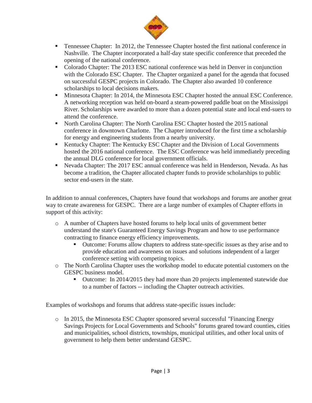

- **Tennessee Chapter:** In 2012, the Tennessee Chapter hosted the first national conference in Nashville. The Chapter incorporated a half-day state specific conference that preceded the opening of the national conference.
- Colorado Chapter: The 2013 ESC national conference was held in Denver in conjunction with the Colorado ESC Chapter. The Chapter organized a panel for the agenda that focused on successful GESPC projects in Colorado. The Chapter also awarded 10 conference scholarships to local decisions makers.
- **Minnesota Chapter: In 2014, the Minnesota ESC Chapter hosted the annual ESC Conference.** A networking reception was held on-board a steam-powered paddle boat on the Mississippi River. Scholarships were awarded to more than a dozen potential state and local end-suers to attend the conference.
- North Carolina Chapter: The North Carolina ESC Chapter hosted the 2015 national conference in downtown Charlotte. The Chapter introduced for the first time a scholarship for energy and engineering students from a nearby university.
- Kentucky Chapter: The Kentucky ESC Chapter and the Division of Local Governments hosted the 2016 national conference. The ESC Conference was held immediately preceding the annual DLG conference for local government officials.
- Nevada Chapter: The 2017 ESC annual conference was held in Henderson, Nevada. As has become a tradition, the Chapter allocated chapter funds to provide scholarships to public sector end-users in the state.

In addition to annual conferences, Chapters have found that workshops and forums are another great way to create awareness for GESPC. There are a large number of examples of Chapter efforts in support of this activity:

- o A number of Chapters have hosted forums to help local units of government better understand the state's Guaranteed Energy Savings Program and how to use performance contracting to finance energy efficiency improvements.
	- Outcome: Forums allow chapters to address state-specific issues as they arise and to provide education and awareness on issues and solutions independent of a larger conference setting with competing topics.
- o The North Carolina Chapter uses the workshop model to educate potential customers on the GESPC business model.
	- Outcome: In 2014/2015 they had more than 20 projects implemented statewide due to a number of factors -- including the Chapter outreach activities.

Examples of workshops and forums that address state-specific issues include:

o In 2015, the Minnesota ESC Chapter sponsored several successful "Financing Energy Savings Projects for Local Governments and Schools" forums geared toward counties, cities and municipalities, school districts, townships, municipal utilities, and other local units of government to help them better understand GESPC.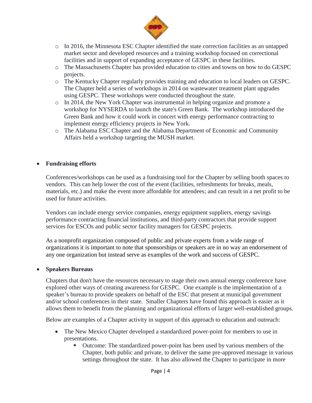

- o In 2016, the Minnesota ESC Chapter identified the state correction facilities as an untapped market sector and developed resources and a training workshop focused on correctional facilities and in support of expanding acceptance of GESPC in these facilities.
- o The Massachusetts Chapter has provided education to cities and towns on how to do GESPC projects.
- o The Kentucky Chapter regularly provides training and education to local leaders on GESPC. The Chapter held a series of workshops in 2014 on wastewater treatment plant upgrades using GESPC. These workshops were conducted throughout the state.
- o In 2014, the New York Chapter was instrumental in helping organize and promote a workshop for NYSERDA to launch the state's Green Bank. The workshop introduced the Green Bank and how it could work in concert with energy performance contracting to implement energy efficiency projects in New York.
- o The Alabama ESC Chapter and the Alabama Department of Economic and Community Affairs held a workshop targeting the MUSH market.

#### **Fundraising efforts**

Conferences/workshops can be used as a fundraising tool for the Chapter by selling booth spaces to vendors. This can help lower the cost of the event (facilities, refreshments for breaks, meals, materials, etc.) and make the event more affordable for attendees; and can result in a net profit to be used for future activities.

Vendors can include energy service companies, energy equipment suppliers, energy savings performance contracting financial institutions, and third-party contractors that provide support services for ESCOs and public sector facility managers for GESPC projects.

As a nonprofit organization composed of public and private experts from a wide range of organizations it is important to note that sponsorships or speakers are in no way an endorsement of any one organization but instead serve as examples of the work and success of GESPC.

#### **Speakers Bureaus**

Chapters that don't have the resources necessary to stage their own annual energy conference have explored other ways of creating awareness for GESPC. One example is the implementation of a speaker's bureau to provide speakers on behalf of the ESC that present at municipal government and/or school conferences in their state. Smaller Chapters have found this approach is easier as it allows them to benefit from the planning and organizational efforts of larger well-established groups.

Below are examples of a Chapter activity in support of this approach to education and outreach:

- The New Mexico Chapter developed a standardized power-point for members to use in presentations.
	- Outcome: The standardized power-point has been used by various members of the Chapter, both public and private, to deliver the same pre-approved message in various settings throughout the state. It has also allowed the Chapter to participate in more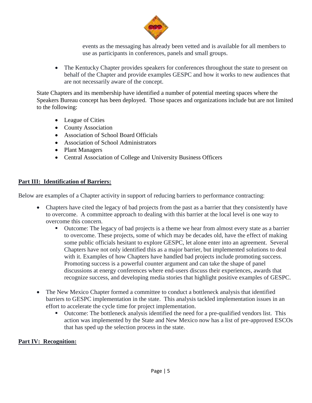

events as the messaging has already been vetted and is available for all members to use as participants in conferences, panels and small groups.

• The Kentucky Chapter provides speakers for conferences throughout the state to present on behalf of the Chapter and provide examples GESPC and how it works to new audiences that are not necessarily aware of the concept.

State Chapters and its membership have identified a number of potential meeting spaces where the Speakers Bureau concept has been deployed. Those spaces and organizations include but are not limited to the following:

- League of Cities
- County Association
- Association of School Board Officials
- Association of School Administrators
- Plant Managers
- Central Association of College and University Business Officers

#### **Part III: Identification of Barriers:**

Below are examples of a Chapter activity in support of reducing barriers to performance contracting:

- Chapters have cited the legacy of bad projects from the past as a barrier that they consistently have to overcome. A committee approach to dealing with this barrier at the local level is one way to overcome this concern.
	- Outcome: The legacy of bad projects is a theme we hear from almost every state as a barrier to overcome. These projects, some of which may be decades old, have the effect of making some public officials hesitant to explore GESPC, let alone enter into an agreement. Several Chapters have not only identified this as a major barrier, but implemented solutions to deal with it. Examples of how Chapters have handled bad projects include promoting success. Promoting success is a powerful counter argument and can take the shape of panel discussions at energy conferences where end-users discuss their experiences, awards that recognize success, and developing media stories that highlight positive examples of GESPC.
- The New Mexico Chapter formed a committee to conduct a bottleneck analysis that identified barriers to GESPC implementation in the state. This analysis tackled implementation issues in an effort to accelerate the cycle time for project implementation.
	- Outcome: The bottleneck analysis identified the need for a pre-qualified vendors list. This action was implemented by the State and New Mexico now has a list of pre-approved ESCOs that has sped up the selection process in the state.

#### **Part IV: Recognition:**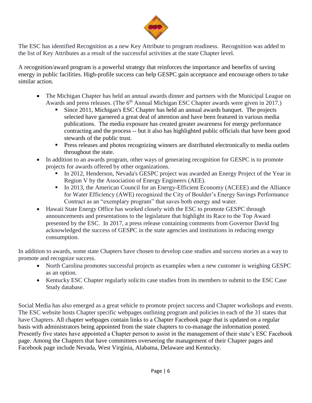

The ESC has identified Recognition as a new Key Attribute to program readiness. Recognition was added to the list of Key Attributes as a result of the successful activities at the state Chapter level.

A recognition/award program is a powerful strategy that reinforces the importance and benefits of saving energy in public facilities. High-profile success can help GESPC gain acceptance and encourage others to take similar action.

- The Michigan Chapter has held an annual awards dinner and partners with the Municipal League on Awards and press releases. (The 6<sup>th</sup> Annual Michigan ESC Chapter awards were given in 2017.)
	- Since 2011, Michigan's ESC Chapter has held an annual awards banquet. The projects selected have garnered a great deal of attention and have been featured in various media publications. The media exposure has created greater awareness for energy performance contracting and the process -- but it also has highlighted public officials that have been good stewards of the public trust.
	- **Press releases and photos recognizing winners are distributed electronically to media outlets** throughout the state.
- In addition to an awards program, other ways of generating recognition for GESPC is to promote projects for awards offered by other organizations.
	- In 2012, Henderson, Nevada's GESPC project was awarded an Energy Project of the Year in Region V by the Association of Energy Engineers (AEE).
	- In 2013, the American Council for an Energy-Efficient Economy (ACEEE) and the Alliance for Water Efficiency (AWE) recognized the City of Boulder's Energy Savings Performance Contract as an "exemplary program" that saves both energy and water.
- Hawaii State Energy Office has worked closely with the ESC to promote GESPC through announcements and presentations to the legislature that highlight its Race to the Top Award presented by the ESC. In 2017, a press release containing comments from Governor David Ing acknowledged the success of GESPC in the state agencies and institutions in reducing energy consumption.

In addition to awards, some state Chapters have chosen to develop case studies and success stories as a way to promote and recognize success.

- North Carolina promotes successful projects as examples when a new customer is weighing GESPC as an option.
- Kentucky ESC Chapter regularly solicits case studies from its members to submit to the ESC Case Study database.

Social Media has also emerged as a great vehicle to promote project success and Chapter workshops and events. The ESC website hosts Chapter specific webpages outlining program and policies in each of the 31 states that have Chapters. All chapter webpages contain links to a Chapter Facebook page that is updated on a regular basis with administrators being appointed from the state chapters to co-manage the information posted. Presently five states have appointed a Chapter person to assist in the management of their state's ESC Facebook page. Among the Chapters that have committees overseeing the management of their Chapter pages and Facebook page include Nevada, West Virginia, Alabama, Delaware and Kentucky.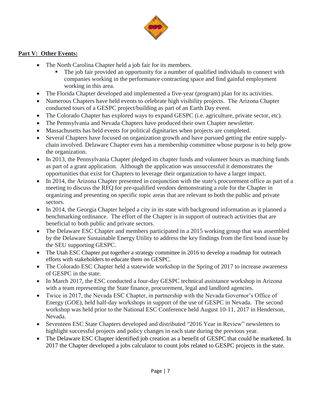

#### **Part V: Other Events:**

- The North Carolina Chapter held a job fair for its members.
	- The job fair provided an opportunity for a number of qualified individuals to connect with companies working in the performance contracting space and find gainful employment working in this area.
- The Florida Chapter developed and implemented a five-year (program) plan for its activities.
- Numerous Chapters have held events to celebrate high visibility projects. The Arizona Chapter conducted tours of a GESPC project/building as part of an Earth Day event.
- The Colorado Chapter has explored ways to expand GESPC (i.e. agriculture, private sector, etc).
- The Pennsylvania and Nevada Chapters have produced their own Chapter newsletter.
- Massachusetts has held events for political dignitaries when projects are completed.
- Several Chapters have focused on organization growth and have pursued getting the entire supplychain involved. Delaware Chapter even has a membership committee whose purpose is to help grow the organization.
- In 2013, the Pennsylvania Chapter pledged its chapter funds and volunteer hours as matching funds as part of a grant application. Although the application was unsuccessful it demonstrates the opportunities that exist for Chapters to leverage their organization to have a larger impact.
- In 2014, the Arizona Chapter presented in conjunction with the state's procurement office as part of a meeting to discuss the RFQ for pre-qualified vendors demonstrating a role for the Chapter in organizing and presenting on specific topic areas that are relevant to both the public and private sectors.
- In 2014, the Georgia Chapter helped a city in its state with background information as it planned a benchmarking ordinance. The effort of the Chapter is in support of outreach activities that are beneficial to both public and private sectors.
- The Delaware ESC Chapter and members participated in a 2015 working group that was assembled by the Delaware Sustainable Energy Utility to address the key findings from the first bond issue by the SEU supporting GESPC.
- The Utah ESC Chapter put together a strategy committee in 2016 to develop a roadmap for outreach efforts with stakeholders to educate them on GESPC.
- The Colorado ESC Chapter held a statewide workshop in the Spring of 2017 to increase awareness of GESPC in the state.
- In March 2017, the ESC conducted a four-day GESPC technical assistance workshop in Arizona with a team representing the State finance, procurement, legal and landlord agencies.
- Twice in 2017, the Nevada ESC Chapter, in partnership with the Nevada Governor's Office of Energy (GOE), held half-day workshops in support of the use of GESPC in Nevada. The second workshop was held prior to the National ESC Conference held August 10-11, 2017 in Henderson, Nevada.
- Seventeen ESC State Chapters developed and distributed "2016 Year in Review" newsletters to highlight successful projects and policy changes in each state during the previous year.
- The Delaware ESC Chapter identified job creation as a benefit of GESPC that could be marketed. In 2017 the Chapter developed a jobs calculator to count jobs related to GESPC projects in the state.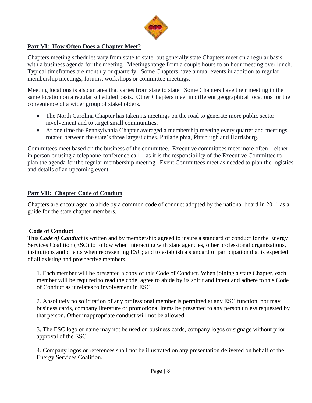

#### **Part VI: How Often Does a Chapter Meet?**

Chapters meeting schedules vary from state to state, but generally state Chapters meet on a regular basis with a business agenda for the meeting. Meetings range from a couple hours to an hour meeting over lunch. Typical timeframes are monthly or quarterly. Some Chapters have annual events in addition to regular membership meetings, forums, workshops or committee meetings.

Meeting locations is also an area that varies from state to state. Some Chapters have their meeting in the same location on a regular scheduled basis. Other Chapters meet in different geographical locations for the convenience of a wider group of stakeholders.

- The North Carolina Chapter has taken its meetings on the road to generate more public sector involvement and to target small communities.
- At one time the Pennsylvania Chapter averaged a membership meeting every quarter and meetings rotated between the state's three largest cities, Philadelphia, Pittsburgh and Harrisburg.

Committees meet based on the business of the committee. Executive committees meet more often – either in person or using a telephone conference call – as it is the responsibility of the Executive Committee to plan the agenda for the regular membership meeting. Event Committees meet as needed to plan the logistics and details of an upcoming event.

#### **Part VII: Chapter Code of Conduct**

Chapters are encouraged to abide by a common code of conduct adopted by the national board in 2011 as a guide for the state chapter members.

#### **Code of Conduct**

This *Code of Conduct* is written and by membership agreed to insure a standard of conduct for the Energy Services Coalition (ESC) to follow when interacting with state agencies, other professional organizations, institutions and clients when representing ESC; and to establish a standard of participation that is expected of all existing and prospective members.

1. Each member will be presented a copy of this Code of Conduct. When joining a state Chapter, each member will be required to read the code, agree to abide by its spirit and intent and adhere to this Code of Conduct as it relates to involvement in ESC.

2. Absolutely no solicitation of any professional member is permitted at any ESC function, nor may business cards, company literature or promotional items be presented to any person unless requested by that person. Other inappropriate conduct will not be allowed.

3. The ESC logo or name may not be used on business cards, company logos or signage without prior approval of the ESC.

4. Company logos or references shall not be illustrated on any presentation delivered on behalf of the Energy Services Coalition.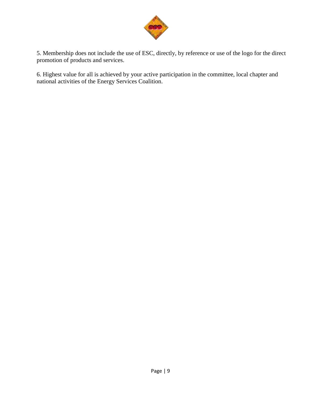

5. Membership does not include the use of ESC, directly, by reference or use of the logo for the direct promotion of products and services.

6. Highest value for all is achieved by your active participation in the committee, local chapter and national activities of the Energy Services Coalition.